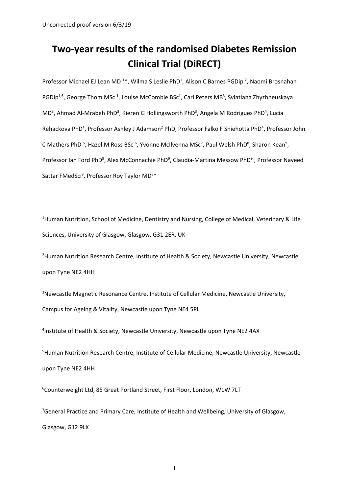# **Two-year results of the randomised Diabetes Remission Clinical Trial (DiRECT)**

Professor Michael EJ Lean MD<sup>1\*</sup>, Wilma S Leslie PhD<sup>1</sup>, Alison C Barnes PGDip<sup>2</sup>, Naomi Brosnahan PGDip<sup>1,6</sup>, George Thom MSc<sup>1</sup>, Louise McCombie BSc<sup>1</sup>, Carl Peters MB<sup>3</sup>, Sviatlana Zhyzhneuskaya MD<sup>3</sup>, Ahmad Al-Mrabeh PhD<sup>3</sup>, Kieren G Hollingsworth PhD<sup>3</sup>, Angela M Rodrigues PhD<sup>4</sup>, Lucia Rehackova PhD<sup>4</sup>, Professor Ashley J Adamson<sup>2</sup> PhD, Professor Falko F Sniehotta PhD<sup>4</sup>, Professor John C Mathers PhD<sup>5</sup>, Hazel M Ross BSc<sup>6</sup>, Yvonne McIlvenna MSc<sup>7</sup>, Paul Welsh PhD<sup>8</sup>, Sharon Kean<sup>9</sup>, Professor Ian Ford PhD<sup>9</sup>, Alex McConnachie PhD<sup>9</sup>, Claudia-Martina Messow PhD<sup>9</sup>, Professor Naveed Sattar FMedSci<sup>8</sup>, Professor Roy Taylor MD<sup>3\*</sup>

<sup>1</sup>Human Nutrition, School of Medicine, Dentistry and Nursing, College of Medical, Veterinary & Life Sciences, University of Glasgow, Glasgow, G31 2ER, UK

<sup>2</sup>Human Nutrition Research Centre, Institute of Health & Society, Newcastle University, Newcastle upon Tyne NE2 4HH

<sup>3</sup>Newcastle Magnetic Resonance Centre, Institute of Cellular Medicine, Newcastle University, Campus for Ageing & Vitality, Newcastle upon Tyne NE4 5PL

<sup>4</sup>Institute of Health & Society, Newcastle University, Newcastle upon Tyne NE2 4AX

5 Human Nutrition Research Centre, Institute of Cellular Medicine, Newcastle University, Newcastle upon Tyne NE2 4HH

6 Counterweight Ltd, 85 Great Portland Street, First Floor, London, W1W 7LT

<sup>7</sup>General Practice and Primary Care, Institute of Health and Wellbeing, University of Glasgow, Glasgow, G12 9LX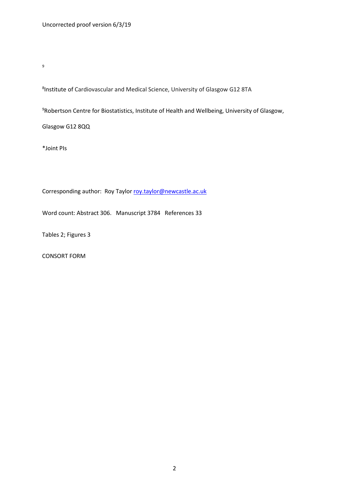9

8 Institute of Cardiovascular and Medical Science, University of Glasgow G12 8TA

<sup>9</sup>Robertson Centre for Biostatistics, Institute of Health and Wellbeing, University of Glasgow,

Glasgow G12 8QQ

\*Joint PIs

Corresponding author: Roy Taylor [roy.taylor@newcastle.ac.uk](mailto:roy.taylor@newcastle.ac.uk)

Word count: Abstract 306. Manuscript 3784 References 33

Tables 2; Figures 3

CONSORT FORM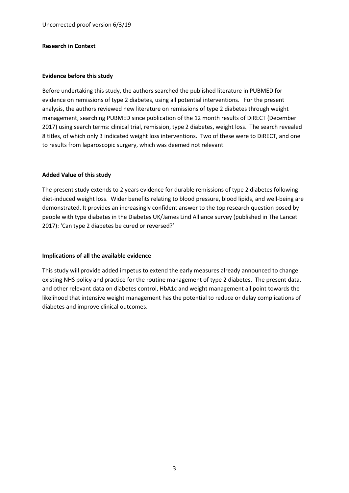### **Research in Context**

### **Evidence before this study**

Before undertaking this study, the authors searched the published literature in PUBMED for evidence on remissions of type 2 diabetes, using all potential interventions. For the present analysis, the authors reviewed new literature on remissions of type 2 diabetes through weight management, searching PUBMED since publication of the 12 month results of DiRECT (December 2017) using search terms: clinical trial, remission, type 2 diabetes, weight loss. The search revealed 8 titles, of which only 3 indicated weight loss interventions. Two of these were to DiRECT, and one to results from laparoscopic surgery, which was deemed not relevant.

### **Added Value of this study**

The present study extends to 2 years evidence for durable remissions of type 2 diabetes following diet-induced weight loss. Wider benefits relating to blood pressure, blood lipids, and well-being are demonstrated. It provides an increasingly confident answer to the top research question posed by people with type diabetes in the Diabetes UK/James Lind Alliance survey (published in The Lancet 2017): 'Can type 2 diabetes be cured or reversed?'

### **Implications of all the available evidence**

This study will provide added impetus to extend the early measures already announced to change existing NHS policy and practice for the routine management of type 2 diabetes. The present data, and other relevant data on diabetes control, HbA1c and weight management all point towards the likelihood that intensive weight management has the potential to reduce or delay complications of diabetes and improve clinical outcomes.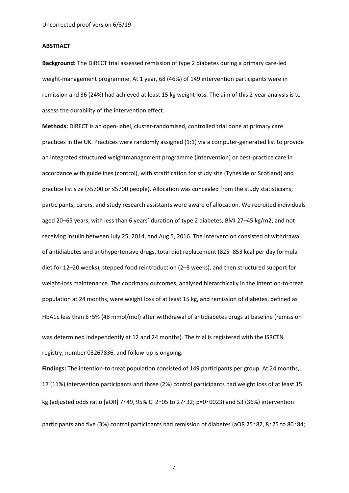#### **ABSTRACT**

**Background:** The DiRECT trial assessed remission of type 2 diabetes during a primary care-led weight-management programme. At 1 year, 68 (46%) of 149 intervention participants were in remission and 36 (24%) had achieved at least 15 kg weight loss. The aim of this 2-year analysis is to assess the durability of the intervention effect.

**Methods:** DiRECT is an open-label, cluster-randomised, controlled trial done at primary care practices in the UK. Practices were randomly assigned (1:1) via a computer-generated list to provide an integrated structured weightmanagement programme (intervention) or best-practice care in accordance with guidelines (control), with stratification for study site (Tyneside or Scotland) and practice list size (>5700 or ≤5700 people). Allocation was concealed from the study statisticians; participants, carers, and study research assistants were aware of allocation. We recruited individuals aged 20–65 years, with less than 6 years' duration of type 2 diabetes, BMI 27–45 kg/m2, and not receiving insulin between July 25, 2014, and Aug 5, 2016. The intervention consisted of withdrawal of antidiabetes and antihypertensive drugs, total diet replacement (825–853 kcal per day formula diet for 12–20 weeks), stepped food reintroduction (2–8 weeks), and then structured support for weight-loss maintenance. The coprimary outcomes, analysed hierarchically in the intention-to-treat population at 24 months, were weight loss of at least 15 kg, and remission of diabetes, defined as HbA1c less than 6・5% (48 mmol/mol) after withdrawal of antidiabetes drugs at baseline (remission was determined independently at 12 and 24 months). The trial is registered with the ISRCTN registry, number 03267836, and follow-up is ongoing.

**Findings:** The intention-to-treat population consisted of 149 participants per group. At 24 months, 17 (11%) intervention participants and three (2%) control participants had weight loss of at least 15 kg (adjusted odds ratio [aOR] 7・49, 95% CI 2・05 to 27・32; p=0・0023) and 53 (36%) intervention participants and five (3%) control participants had remission of diabetes (aOR 25・82, 8・25 to 80・84;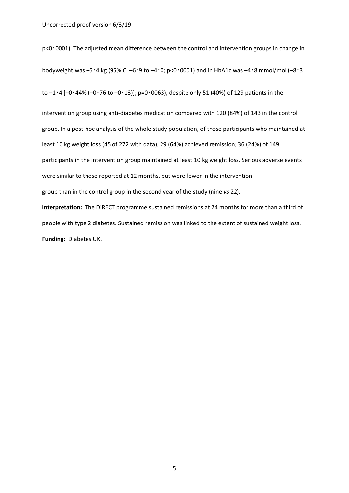p<0・0001). The adjusted mean difference between the control and intervention groups in change in bodyweight was –5・4 kg (95% CI –6・9 to –4・0; p<0・0001) and in HbA1c was –4・8 mmol/mol (–8・3 to  $-1.4$  [ $-0.44\%$  ( $-0.76$  to  $-0.13$ ]]; p=0.0063), despite only 51 (40%) of 129 patients in the

intervention group using anti-diabetes medication compared with 120 (84%) of 143 in the control group. In a post-hoc analysis of the whole study population, of those participants who maintained at least 10 kg weight loss (45 of 272 with data), 29 (64%) achieved remission; 36 (24%) of 149 participants in the intervention group maintained at least 10 kg weight loss. Serious adverse events were similar to those reported at 12 months, but were fewer in the intervention group than in the control group in the second year of the study (nine *vs* 22). **Interpretation:** The DiRECT programme sustained remissions at 24 months for more than a third of people with type 2 diabetes. Sustained remission was linked to the extent of sustained weight loss. **Funding:** Diabetes UK.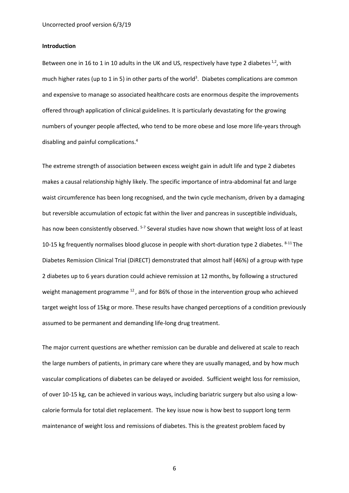#### **Introduction**

Between one in 16 to 1 in 10 adults in the UK and US, respectively have type 2 diabetes  $^{1,2}$ , with much higher rates (up to 1 in 5) in other parts of the world<sup>3</sup>. Diabetes complications are common and expensive to manage so associated healthcare costs are enormous despite the improvements offered through application of clinical guidelines. It is particularly devastating for the growing numbers of younger people affected, who tend to be more obese and lose more life-years through disabling and painful complications. 4

The extreme strength of association between excess weight gain in adult life and type 2 diabetes makes a causal relationship highly likely. The specific importance of intra-abdominal fat and large waist circumference has been long recognised, and the twin cycle mechanism, driven by a damaging but reversible accumulation of ectopic fat within the liver and pancreas in susceptible individuals, has now been consistently observed. <sup>5-7</sup> Several studies have now shown that weight loss of at least 10-15 kg frequently normalises blood glucose in people with short-duration type 2 diabetes.  $8-11$  The Diabetes Remission Clinical Trial (DiRECT) demonstrated that almost half (46%) of a group with type 2 diabetes up to 6 years duration could achieve remission at 12 months, by following a structured weight management programme <sup>12</sup>, and for 86% of those in the intervention group who achieved target weight loss of 15kg or more. These results have changed perceptions of a condition previously assumed to be permanent and demanding life-long drug treatment.

The major current questions are whether remission can be durable and delivered at scale to reach the large numbers of patients, in primary care where they are usually managed, and by how much vascular complications of diabetes can be delayed or avoided. Sufficient weight loss for remission, of over 10-15 kg, can be achieved in various ways, including bariatric surgery but also using a lowcalorie formula for total diet replacement. The key issue now is how best to support long term maintenance of weight loss and remissions of diabetes. This is the greatest problem faced by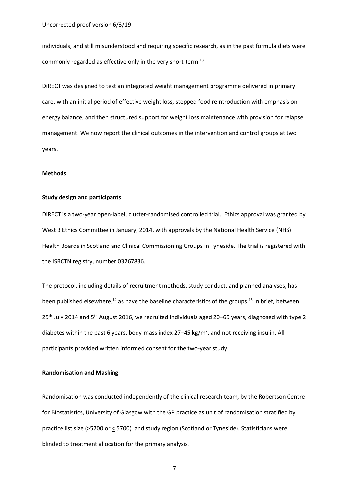individuals, and still misunderstood and requiring specific research, as in the past formula diets were commonly regarded as effective only in the very short-term 13

DiRECT was designed to test an integrated weight management programme delivered in primary care, with an initial period of effective weight loss, stepped food reintroduction with emphasis on energy balance, and then structured support for weight loss maintenance with provision for relapse management. We now report the clinical outcomes in the intervention and control groups at two years.

#### **Methods**

### **Study design and participants**

DiRECT is a two-year open-label, cluster-randomised controlled trial. Ethics approval was granted by West 3 Ethics Committee in January, 2014, with approvals by the National Health Service (NHS) Health Boards in Scotland and Clinical Commissioning Groups in Tyneside. The trial is registered with the ISRCTN registry, number 03267836.

The protocol, including details of recruitment methods, study conduct, and planned analyses, has been published elsewhere,<sup>14</sup> as have the baseline characteristics of the groups.<sup>15</sup> In brief, between 25<sup>th</sup> July 2014 and 5<sup>th</sup> August 2016, we recruited individuals aged 20–65 years, diagnosed with type 2 diabetes within the past 6 years, body-mass index 27–45 kg/ $m^2$ , and not receiving insulin. All participants provided written informed consent for the two-year study.

#### **Randomisation and Masking**

Randomisation was conducted independently of the clinical research team, by the Robertson Centre for Biostatistics, University of Glasgow with the GP practice as unit of randomisation stratified by practice list size (>5700 or < 5700) and study region (Scotland or Tyneside). Statisticians were blinded to treatment allocation for the primary analysis.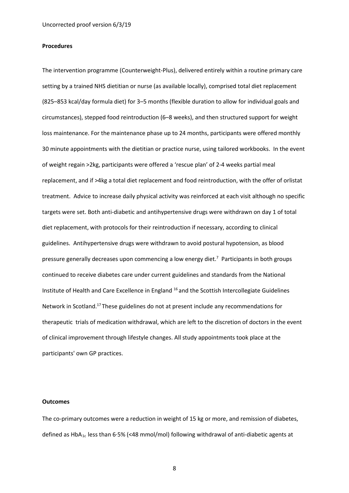#### **Procedures**

The intervention programme (Counterweight-Plus), delivered entirely within a routine primary care setting by a trained NHS dietitian or nurse (as available locally), comprised total diet replacement (825–853 kcal/day formula diet) for 3–5 months (flexible duration to allow for individual goals and circumstances), stepped food reintroduction (6–8 weeks), and then structured support for weight loss maintenance. For the maintenance phase up to 24 months, participants were offered monthly 30 minute appointments with the dietitian or practice nurse, using tailored workbooks. In the event of weight regain >2kg, participants were offered a 'rescue plan' of 2-4 weeks partial meal replacement, and if >4kg a total diet replacement and food reintroduction, with the offer of orlistat treatment. Advice to increase daily physical activity was reinforced at each visit although no specific targets were set. Both anti-diabetic and antihypertensive drugs were withdrawn on day 1 of total diet replacement, with protocols for their reintroduction if necessary, according to clinical guidelines. Antihypertensive drugs were withdrawn to avoid postural hypotension, as blood pressure generally decreases upon commencing a low energy diet.<sup>7</sup> Participants in both groups continued to receive diabetes care under current guidelines and standards from the National Institute of Health and Care Excellence in England 16 and the Scottish Intercollegiate Guidelines Network in Scotland.17 These guidelines do not at present include any recommendations for therapeutic trials of medication withdrawal, which are left to the discretion of doctors in the event of clinical improvement through lifestyle changes. All study appointments took place at the participants' own GP practices.

#### **Outcomes**

The co-primary outcomes were a reduction in weight of 15 kg or more, and remission of diabetes, defined as  $HbA_{1c}$  less than 6.5% (<48 mmol/mol) following withdrawal of anti-diabetic agents at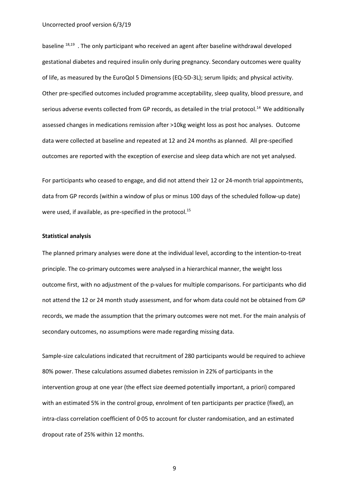baseline 18,19 . The only participant who received an agent after baseline withdrawal developed gestational diabetes and required insulin only during pregnancy. Secondary outcomes were quality of life, as measured by the EuroQol 5 Dimensions (EQ-5D-3L); serum lipids; and physical activity. Other pre-specified outcomes included programme acceptability, sleep quality, blood pressure, and serious adverse events collected from GP records, as detailed in the trial protocol.<sup>14</sup> We additionally assessed changes in medications remission after >10kg weight loss as post hoc analyses. Outcome data were collected at baseline and repeated at 12 and 24 months as planned. All pre-specified outcomes are reported with the exception of exercise and sleep data which are not yet analysed.

For participants who ceased to engage, and did not attend their 12 or 24-month trial appointments, data from GP records (within a window of plus or minus 100 days of the scheduled follow-up date) were used, if available, as pre-specified in the protocol.<sup>15</sup>

#### **Statistical analysis**

The planned primary analyses were done at the individual level, according to the intention-to-treat principle. The co-primary outcomes were analysed in a hierarchical manner, the weight loss outcome first, with no adjustment of the p-values for multiple comparisons. For participants who did not attend the 12 or 24 month study assessment, and for whom data could not be obtained from GP records, we made the assumption that the primary outcomes were not met. For the main analysis of secondary outcomes, no assumptions were made regarding missing data.

Sample-size calculations indicated that recruitment of 280 participants would be required to achieve 80% power. These calculations assumed diabetes remission in 22% of participants in the intervention group at one year (the effect size deemed potentially important, a priori) compared with an estimated 5% in the control group, enrolment of ten participants per practice (fixed), an intra-class correlation coefficient of 0·05 to account for cluster randomisation, and an estimated dropout rate of 25% within 12 months.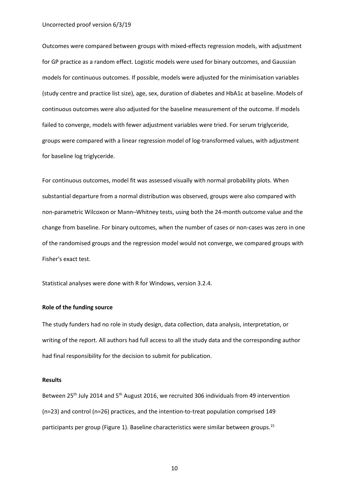Outcomes were compared between groups with mixed-effects regression models, with adjustment for GP practice as a random effect. Logistic models were used for binary outcomes, and Gaussian models for continuous outcomes. If possible, models were adjusted for the minimisation variables (study centre and practice list size), age, sex, duration of diabetes and HbA1c at baseline. Models of continuous outcomes were also adjusted for the baseline measurement of the outcome. If models failed to converge, models with fewer adjustment variables were tried. For serum triglyceride, groups were compared with a linear regression model of log-transformed values, with adjustment for baseline log triglyceride.

For continuous outcomes, model fit was assessed visually with normal probability plots. When substantial departure from a normal distribution was observed, groups were also compared with non-parametric Wilcoxon or Mann–Whitney tests, using both the 24-month outcome value and the change from baseline. For binary outcomes, when the number of cases or non-cases was zero in one of the randomised groups and the regression model would not converge, we compared groups with Fisher's exact test.

Statistical analyses were done with R for Windows, version 3.2.4.

#### **Role of the funding source**

The study funders had no role in study design, data collection, data analysis, interpretation, or writing of the report. All authors had full access to all the study data and the corresponding author had final responsibility for the decision to submit for publication.

#### **Results**

Between 25<sup>th</sup> July 2014 and 5<sup>th</sup> August 2016, we recruited 306 individuals from 49 intervention (n=23) and control (n=26) practices, and the intention-to-treat population comprised 149 participants per group (Figure 1). Baseline characteristics were similar between groups.<sup>15</sup>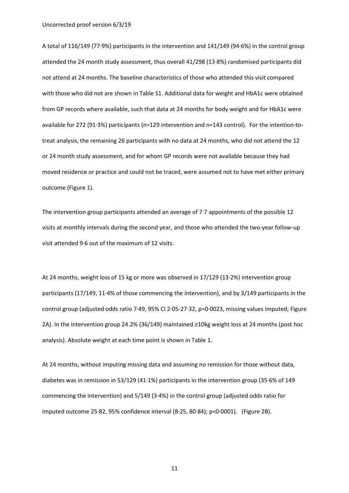A total of 116/149 (77·9%) participants in the intervention and 141/149 (94·6%) in the control group attended the 24 month study assessment, thus overall 41/298 (13·8%) randomised participants did not attend at 24 months. The baseline characteristics of those who attended this visit compared with those who did not are shown in Table S1. Additional data for weight and HbA1c were obtained from GP records where available, such that data at 24 months for body weight and for HbA1c were available for 272 (91·3%) participants (n=129 intervention and n=143 control). For the intention-totreat analysis, the remaining 26 participants with no data at 24 months, who did not attend the 12 or 24 month study assessment, and for whom GP records were not available because they had moved residence or practice and could not be traced, were assumed not to have met either primary outcome [\(Figure 1\)](http://www.thelancet.com/cms/attachment/2117900888/2085717016/gr1.gif).

The intervention group participants attended an average of 7·7 appointments of the possible 12 visits at monthly intervals during the second year, and those who attended the two-year follow-up visit attended 9·6 out of the maximum of 12 visits.

At 24 months, weight loss of 15 kg or more was observed in 17/129 (13·2%) intervention group participants (17/149, 11·4% of those commencing the intervention), and by 3/149 participants in the control group (adjusted odds ratio 7·49, 95% CI 2·05-27·32, p=0·0023, missing values imputed; [Figure](http://www.thelancet.com/cms/attachment/2117900888/2085717017/gr2.jpg)  [2A](http://www.thelancet.com/cms/attachment/2117900888/2085717017/gr2.jpg)). In the intervention group 24.2% (36/149) maintained ≥10kg weight loss at 24 months (post hoc analysis). Absolute weight at each time point is shown in Table 1.

At 24 months, without imputing missing data and assuming no remission for those without data, diabetes was in remission in 53/129 (41·1%) participants in the intervention group (35·6% of 149 commencing the intervention) and 5/149 (3·4%) in the control group (adjusted odds ratio for imputed outcome 25·82, 95% confidence interval (8·25, 80·84); p<0·0001). (Figure 2B).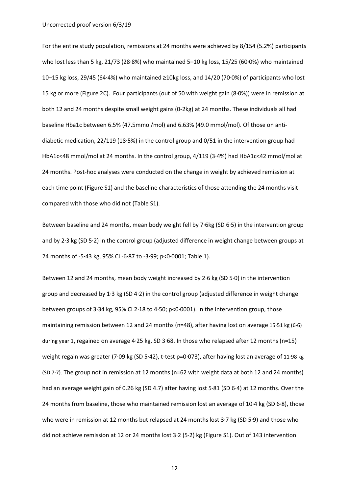For the entire study population, remissions at 24 months were achieved by 8/154 (5.2%) participants who lost less than 5 kg, 21/73 (28·8%) who maintained 5–10 kg loss, 15/25 (60·0%) who maintained 10–15 kg loss, 29/45 (64·4%) who maintained ≥10kg loss, and 14/20 (70·0%) of participants who lost 15 kg or more (Figure 2C). Four participants (out of 50 with weight gain (8·0%)) were in remission at both 12 and 24 months despite small weight gains (0-2kg) at 24 months. These individuals all had baseline Hba1c between 6.5% (47.5mmol/mol) and 6.63% (49.0 mmol/mol). Of those on antidiabetic medication, 22/119 (18·5%) in the control group and 0/51 in the intervention group had HbA1c<48 mmol/mol at 24 months. In the control group, 4/119 (3·4%) had HbA1c<42 mmol/mol at 24 months. Post-hoc analyses were conducted on the change in weight by achieved remission at each time point (Figure S1) and the baseline characteristics of those attending the 24 months visit compared with those who did not (Table S1).

Between baseline and 24 months, mean body weight fell by 7·6kg (SD 6·5) in the intervention group and by 2·3 kg (SD 5·2) in the control group (adjusted difference in weight change between groups at 24 months of -5·43 kg, 95% CI -6·87 to -3·99; p<0·0001; Table 1).

Between 12 and 24 months, mean body weight increased by 2·6 kg (SD 5·0) in the intervention group and decreased by 1·3 kg (SD 4·2) in the control group (adjusted difference in weight change between groups of 3·34 kg, 95% CI 2·18 to 4·50; p<0·0001). In the intervention group, those maintaining remission between 12 and 24 months (n=48), after having lost on average 15·51 kg (6·6) during year 1, regained on average 4·25 kg, SD 3·68. In those who relapsed after 12 months (n=15) weight regain was greater (7·09 kg (SD 5·42), t-test p=0·073), after having lost an average of 11·98 kg (SD 7·7). The group not in remission at 12 months (n=62 with weight data at both 12 and 24 months) had an average weight gain of 0.26 kg (SD 4.7) after having lost 5·81 (SD 6·4) at 12 months. Over the 24 months from baseline, those who maintained remission lost an average of 10·4 kg (SD 6·8), those who were in remission at 12 months but relapsed at 24 months lost 3.7 kg (SD 5.9) and those who did not achieve remission at 12 or 24 months lost 3·2 (5·2) kg (Figure S1). Out of 143 intervention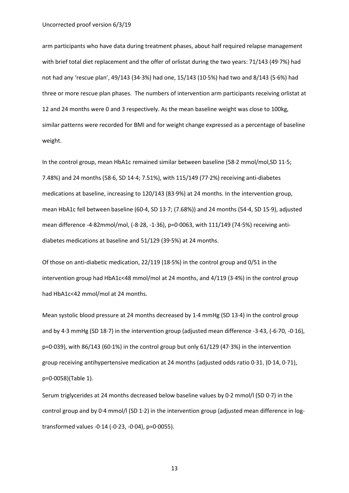arm participants who have data during treatment phases, about half required relapse management with brief total diet replacement and the offer of orlistat during the two years: 71/143 (49·7%) had not had any 'rescue plan', 49/143 (34·3%) had one, 15/143 (10·5%) had two and 8/143 (5·6%) had three or more rescue plan phases. The numbers of intervention arm participants receiving orlistat at 12 and 24 months were 0 and 3 respectively. As the mean baseline weight was close to 100kg, similar patterns were recorded for BMI and for weight change expressed as a percentage of baseline weight.

In the control group, mean HbA1c remained similar between baseline (58·2 mmol/mol,SD 11·5; 7.48%) and 24 months (58·6, SD 14·4; 7.51%), with 115/149 (77·2%) receiving anti-diabetes medications at baseline, increasing to 120/143 (83·9%) at 24 months. In the intervention group, mean HbA1c fell between baseline (60·4, SD 13·7; (7.68%)) and 24 months (54·4, SD 15·9), adjusted mean difference -4·82mmol/mol, (-8·28, -1·36), p=0·0063, with 111/149 (74·5%) receiving antidiabetes medications at baseline and 51/129 (39·5%) at 24 months.

Of those on anti-diabetic medication, 22/119 (18·5%) in the control group and 0/51 in the intervention group had HbA1c<48 mmol/mol at 24 months, and 4/119 (3·4%) in the control group had HbA1c<42 mmol/mol at 24 months.

Mean systolic blood pressure at 24 months decreased by 1·4 mmHg (SD 13·4) in the control group and by 4·3 mmHg (SD 18·7) in the intervention group (adjusted mean difference -3·43, (-6·70, -0·16), p=0·039), with 86/143 (60·1%) in the control group but only 61/129 (47·3%) in the intervention group receiving antihypertensive medication at 24 months (adjusted odds ratio 0·31, (0·14, 0·71), p=0·0058)(Table 1).

Serum triglycerides at 24 months decreased below baseline values by 0·2 mmol/l (SD 0·7) in the control group and by 0.4 mmol/l (SD 1.2) in the intervention group (adjusted mean difference in logtransformed values -0·14 (-0·23, -0·04), p=0·0055).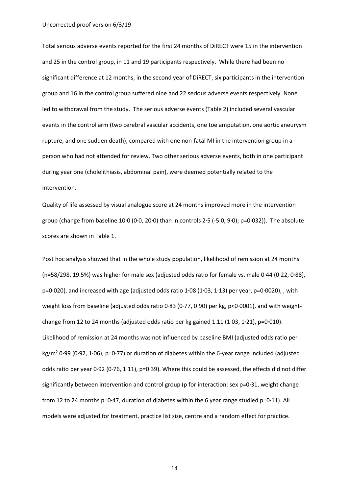Total serious adverse events reported for the first 24 months of DiRECT were 15 in the intervention and 25 in the control group, in 11 and 19 participants respectively. While there had been no significant difference at 12 months, in the second year of DiRECT, six participants in the intervention group and 16 in the control group suffered nine and 22 serious adverse events respectively. None led to withdrawal from the study. The serious adverse events (Table 2) included several vascular events in the control arm (two cerebral vascular accidents, one toe amputation, one aortic aneurysm rupture, and one sudden death), compared with one non-fatal MI in the intervention group in a person who had not attended for review. Two other serious adverse events, both in one participant during year one (cholelithiasis, abdominal pain), were deemed potentially related to the intervention.

Quality of life assessed by visual analogue score at 24 months improved more in the intervention group (change from baseline 10·0 (0·0, 20·0) than in controls 2·5 (-5·0, 9·0); p=0·032)). The absolute scores are shown in Table 1.

Post hoc analysis showed that in the whole study population, likelihood of remission at 24 months (n=58/298, 19.5%) was higher for male sex (adjusted odds ratio for female vs. male 0·44 (0·22, 0·88), p=0·020), and increased with age (adjusted odds ratio 1·08 (1·03, 1·13) per year, p=0·0020), , with weight loss from baseline (adjusted odds ratio 0.83 (0.77, 0.90) per kg, p<0.0001), and with weightchange from 12 to 24 months (adjusted odds ratio per kg gained 1.11 (1·03, 1·21), p=0·010). Likelihood of remission at 24 months was not influenced by baseline BMI (adjusted odds ratio per  $kg/m^2$  0·99 (0·92, 1·06), p=0·77) or duration of diabetes within the 6-year range included (adjusted odds ratio per year 0·92 (0·76, 1·11), p=0·39). Where this could be assessed, the effects did not differ significantly between intervention and control group (p for interaction: sex p=0·31, weight change from 12 to 24 months p=0·47, duration of diabetes within the 6 year range studied p=0·11). All models were adjusted for treatment, practice list size, centre and a random effect for practice.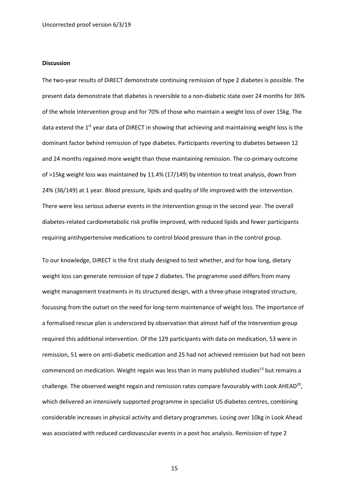#### **Discussion**

The two-year results of DiRECT demonstrate continuing remission of type 2 diabetes is possible. The present data demonstrate that diabetes is reversible to a non-diabetic state over 24 months for 36% of the whole Intervention group and for 70% of those who maintain a weight loss of over 15kg. The data extend the  $1<sup>st</sup>$  year data of DiRECT in showing that achieving and maintaining weight loss is the dominant factor behind remission of type diabetes. Participants reverting to diabetes between 12 and 24 months regained more weight than those maintaining remission. The co-primary outcome of >15kg weight loss was maintained by 11.4% (17/149) by intention to treat analysis, down from 24% (36/149) at 1 year. Blood pressure, lipids and quality of life improved with the intervention. There were less serious adverse events in the intervention group in the second year. The overall diabetes-related cardiometabolic risk profile improved, with reduced lipids and fewer participants requiring antihypertensive medications to control blood pressure than in the control group.

To our knowledge, DiRECT is the first study designed to test whether, and for how long, dietary weight loss can generate remission of type 2 diabetes. The programme used differs from many weight management treatments in its structured design, with a three-phase integrated structure, focussing from the outset on the need for long-term maintenance of weight loss. The importance of a formalised rescue plan is underscored by observation that almost half of the Intervention group required this additional intervention. Of the 129 participants with data on medication, 53 were in remission, 51 were on anti-diabetic medication and 25 had not achieved remission but had not been commenced on medication. Weight regain was less than in many published studies<sup>13</sup> but remains a challenge. The observed weight regain and remission rates compare favourably with Look AHEAD<sup>20</sup>, which delivered an intensively supported programme in specialist US diabetes centres, combining considerable increases in physical activity and dietary programmes. Losing over 10kg in Look Ahead was associated with reduced cardiovascular events in a post hoc analysis. Remission of type 2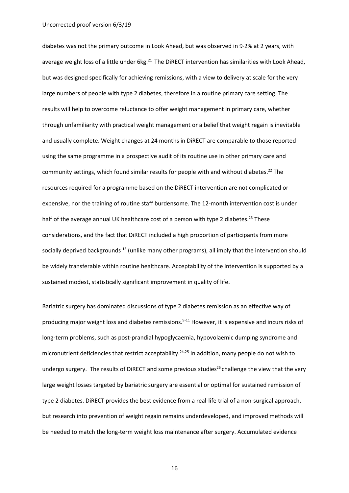#### Uncorrected proof version 6/3/19

diabetes was not the primary outcome in Look Ahead, but was observed in 9·2% at 2 years, with average weight loss of a little under 6kg.<sup>21</sup> The DiRECT intervention has similarities with Look Ahead, but was designed specifically for achieving remissions, with a view to delivery at scale for the very large numbers of people with type 2 diabetes, therefore in a routine primary care setting. The results will help to overcome reluctance to offer weight management in primary care, whether through unfamiliarity with practical weight management or a belief that weight regain is inevitable and usually complete. Weight changes at 24 months in DiRECT are comparable to those reported using the same programme in a prospective audit of its routine use in other primary care and community settings, which found similar results for people with and without diabetes.<sup>22</sup> The resources required for a programme based on the DiRECT intervention are not complicated or expensive, nor the training of routine staff burdensome. The 12-month intervention cost is under half of the average annual UK healthcare cost of a person with type 2 diabetes.<sup>23</sup> These considerations, and the fact that DiRECT included a high proportion of participants from more socially deprived backgrounds<sup>15</sup> (unlike many other programs), all imply that the intervention should be widely transferable within routine healthcare. Acceptability of the intervention is supported by a sustained modest, statistically significant improvement in quality of life.

Bariatric surgery has dominated discussions of type 2 diabetes remission as an effective way of producing major weight loss and diabetes remissions.<sup>9-11</sup> However, it is expensive and incurs risks of long-term problems, such as post-prandial hypoglycaemia, hypovolaemic dumping syndrome and micronutrient deficiencies that restrict acceptability.<sup>24,25</sup> In addition, many people do not wish to undergo surgery. The results of DiRECT and some previous studies<sup>26</sup> challenge the view that the very large weight losses targeted by bariatric surgery are essential or optimal for sustained remission of type 2 diabetes. DiRECT provides the best evidence from a real-life trial of a non-surgical approach, but research into prevention of weight regain remains underdeveloped, and improved methods will be needed to match the long-term weight loss maintenance after surgery. Accumulated evidence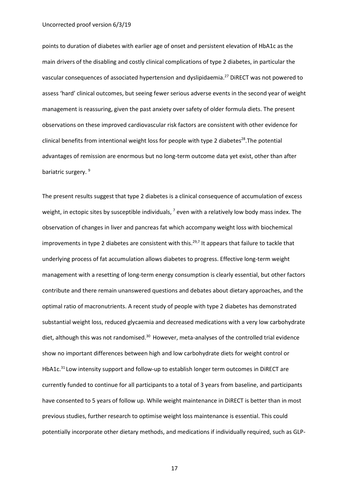#### Uncorrected proof version 6/3/19

points to duration of diabetes with earlier age of onset and persistent elevation of HbA1c as the main drivers of the disabling and costly clinical complications of type 2 diabetes, in particular the vascular consequences of associated hypertension and dyslipidaemia.27 DiRECT was not powered to assess 'hard' clinical outcomes, but seeing fewer serious adverse events in the second year of weight management is reassuring, given the past anxiety over safety of older formula diets. The present observations on these improved cardiovascular risk factors are consistent with other evidence for clinical benefits from intentional weight loss for people with type 2 diabetes<sup>28</sup>. The potential advantages of remission are enormous but no long-term outcome data yet exist, other than after bariatric surgery.<sup>9</sup>

The present results suggest that type 2 diabetes is a clinical consequence of accumulation of excess weight, in ectopic sites by susceptible individuals,  $<sup>7</sup>$  even with a relatively low body mass index. The</sup> observation of changes in liver and pancreas fat which accompany weight loss with biochemical improvements in type 2 diabetes are consistent with this.<sup>29,7</sup> It appears that failure to tackle that underlying process of fat accumulation allows diabetes to progress. Effective long-term weight management with a resetting of long-term energy consumption is clearly essential, but other factors contribute and there remain unanswered questions and debates about dietary approaches, and the optimal ratio of macronutrients. A recent study of people with type 2 diabetes has demonstrated substantial weight loss, reduced glycaemia and decreased medications with a very low carbohydrate diet, although this was not randomised.<sup>30</sup> However, meta-analyses of the controlled trial evidence show no important differences between high and low carbohydrate diets for weight control or HbA1c.<sup>31</sup> Low intensity support and follow-up to establish longer term outcomes in DiRECT are currently funded to continue for all participants to a total of 3 years from baseline, and participants have consented to 5 years of follow up. While weight maintenance in DiRECT is better than in most previous studies, further research to optimise weight loss maintenance is essential. This could potentially incorporate other dietary methods, and medications if individually required, such as GLP-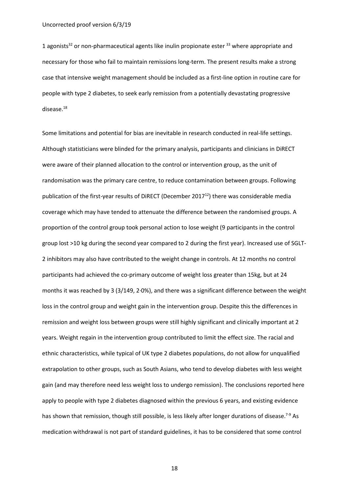1 agonists<sup>32</sup> or non-pharmaceutical agents like inulin propionate ester  $33$  where appropriate and necessary for those who fail to maintain remissions long-term. The present results make a strong case that intensive weight management should be included as a first-line option in routine care for people with type 2 diabetes, to seek early remission from a potentially devastating progressive disease.18

Some limitations and potential for bias are inevitable in research conducted in real-life settings. Although statisticians were blinded for the primary analysis, participants and clinicians in DiRECT were aware of their planned allocation to the control or intervention group, as the unit of randomisation was the primary care centre, to reduce contamination between groups. Following publication of the first-year results of DiRECT (December 2017<sup>12</sup>) there was considerable media coverage which may have tended to attenuate the difference between the randomised groups. A proportion of the control group took personal action to lose weight (9 participants in the control group lost >10 kg during the second year compared to 2 during the first year). Increased use of SGLT-2 inhibitors may also have contributed to the weight change in controls. At 12 months no control participants had achieved the co-primary outcome of weight loss greater than 15kg, but at 24 months it was reached by 3 (3/149, 2·0%), and there was a significant difference between the weight loss in the control group and weight gain in the intervention group. Despite this the differences in remission and weight loss between groups were still highly significant and clinically important at 2 years. Weight regain in the intervention group contributed to limit the effect size. The racial and ethnic characteristics, while typical of UK type 2 diabetes populations, do not allow for unqualified extrapolation to other groups, such as South Asians, who tend to develop diabetes with less weight gain (and may therefore need less weight loss to undergo remission). The conclusions reported here apply to people with type 2 diabetes diagnosed within the previous 6 years, and existing evidence has shown that remission, though still possible, is less likely after longer durations of disease.<sup>7-9</sup> As medication withdrawal is not part of standard guidelines, it has to be considered that some control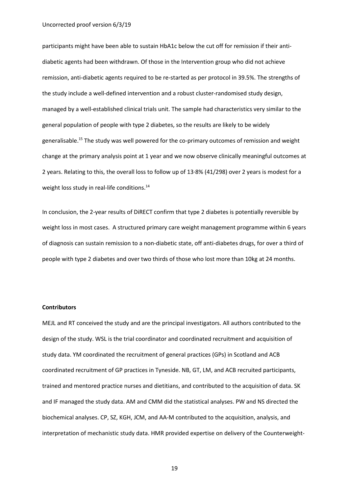participants might have been able to sustain HbA1c below the cut off for remission if their antidiabetic agents had been withdrawn. Of those in the Intervention group who did not achieve remission, anti-diabetic agents required to be re-started as per protocol in 39.5%. The strengths of the study include a well-defined intervention and a robust cluster-randomised study design, managed by a well-established clinical trials unit. The sample had characteristics very similar to the general population of people with type 2 diabetes, so the results are likely to be widely generalisable[.15](javascript:void(0);) The study was well powered for the co-primary outcomes of remission and weight change at the primary analysis point at 1 year and we now observe clinically meaningful outcomes at 2 years. Relating to this, the overall loss to follow up of 13·8% (41/298) over 2 years is modest for a weight loss study in real-life conditions.<sup>14</sup>

In conclusion, the 2-year results of DiRECT confirm that type 2 diabetes is potentially reversible by weight loss in most cases. A structured primary care weight management programme within 6 years of diagnosis can sustain remission to a non-diabetic state, off anti-diabetes drugs, for over a third of people with type 2 diabetes and over two thirds of those who lost more than 10kg at 24 months.

#### **Contributors**

MEJL and RT conceived the study and are the principal investigators. All authors contributed to the design of the study. WSL is the trial coordinator and coordinated recruitment and acquisition of study data. YM coordinated the recruitment of general practices (GPs) in Scotland and ACB coordinated recruitment of GP practices in Tyneside. NB, GT, LM, and ACB recruited participants, trained and mentored practice nurses and dietitians, and contributed to the acquisition of data. SK and IF managed the study data. AM and CMM did the statistical analyses. PW and NS directed the biochemical analyses. CP, SZ, KGH, JCM, and AA-M contributed to the acquisition, analysis, and interpretation of mechanistic study data. HMR provided expertise on delivery of the Counterweight-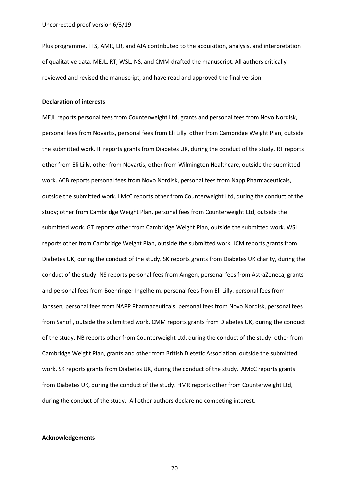Plus programme. FFS, AMR, LR, and AJA contributed to the acquisition, analysis, and interpretation of qualitative data. MEJL, RT, WSL, NS, and CMM drafted the manuscript. All authors critically reviewed and revised the manuscript, and have read and approved the final version.

#### **Declaration of interests**

MEJL reports personal fees from Counterweight Ltd, grants and personal fees from Novo Nordisk, personal fees from Novartis, personal fees from Eli Lilly, other from Cambridge Weight Plan, outside the submitted work. IF reports grants from Diabetes UK, during the conduct of the study. RT reports other from Eli Lilly, other from Novartis, other from Wilmington Healthcare, outside the submitted work. ACB reports personal fees from Novo Nordisk, personal fees from Napp Pharmaceuticals, outside the submitted work. LMcC reports other from Counterweight Ltd, during the conduct of the study; other from Cambridge Weight Plan, personal fees from Counterweight Ltd, outside the submitted work. GT reports other from Cambridge Weight Plan, outside the submitted work. WSL reports other from Cambridge Weight Plan, outside the submitted work. JCM reports grants from Diabetes UK, during the conduct of the study. SK reports grants from Diabetes UK charity, during the conduct of the study. NS reports personal fees from Amgen, personal fees from AstraZeneca, grants and personal fees from Boehringer Ingelheim, personal fees from Eli Lilly, personal fees from Janssen, personal fees from NAPP Pharmaceuticals, personal fees from Novo Nordisk, personal fees from Sanofi, outside the submitted work. CMM reports grants from Diabetes UK, during the conduct of the study. NB reports other from Counterweight Ltd, during the conduct of the study; other from Cambridge Weight Plan, grants and other from British Dietetic Association, outside the submitted work. SK reports grants from Diabetes UK, during the conduct of the study. AMcC reports grants from Diabetes UK, during the conduct of the study. HMR reports other from Counterweight Ltd, during the conduct of the study. All other authors declare no competing interest.

#### **Acknowledgements**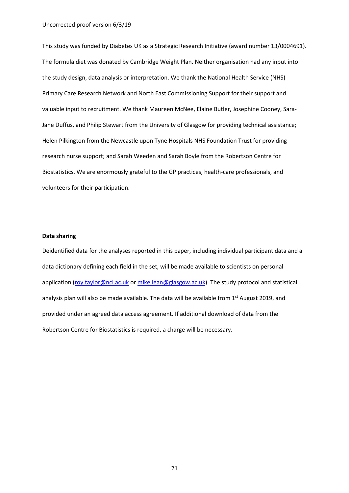This study was funded by Diabetes UK as a Strategic Research Initiative (award number 13/0004691). The formula diet was donated by Cambridge Weight Plan. Neither organisation had any input into the study design, data analysis or interpretation. We thank the National Health Service (NHS) Primary Care Research Network and North East Commissioning Support for their support and valuable input to recruitment. We thank Maureen McNee, Elaine Butler, Josephine Cooney, Sara-Jane Duffus, and Philip Stewart from the University of Glasgow for providing technical assistance; Helen Pilkington from the Newcastle upon Tyne Hospitals NHS Foundation Trust for providing research nurse support; and Sarah Weeden and Sarah Boyle from the Robertson Centre for Biostatistics. We are enormously grateful to the GP practices, health-care professionals, and volunteers for their participation.

#### **Data sharing**

Deidentified data for the analyses reported in this paper, including individual participant data and a data dictionary defining each field in the set, will be made available to scientists on personal application [\(roy.taylor@ncl.ac.uk](mailto:roy.taylor@ncl.ac.uk) or [mike.lean@glasgow.ac.uk\)](mailto:mike.lean@glasgow.ac.uk). The study protocol and statistical analysis plan will also be made available. The data will be available from 1<sup>st</sup> August 2019, and provided under an agreed data access agreement. If additional download of data from the Robertson Centre for Biostatistics is required, a charge will be necessary.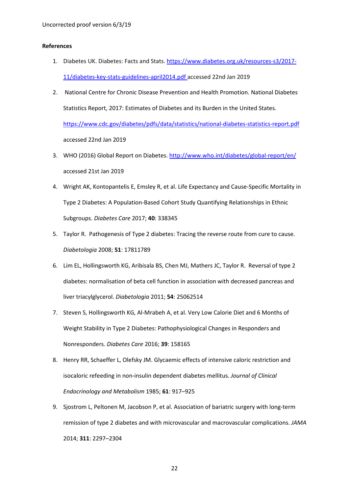#### **References**

- 1. Diabetes UK. Diabetes: Facts and Stats[. https://www.diabetes.org.uk/resources-s3/2017-](https://www.diabetes.org.uk/resources-s3/2017-11/diabetes-key-stats-guidelines-april2014.pdf) [11/diabetes-key-stats-guidelines-april2014.pdf](https://www.diabetes.org.uk/resources-s3/2017-11/diabetes-key-stats-guidelines-april2014.pdf) accessed 22nd Jan 2019
- 2. National Centre for Chronic Disease Prevention and Health Promotion. National Diabetes Statistics Report, 2017: Estimates of Diabetes and its Burden in the United States. <https://www.cdc.gov/diabetes/pdfs/data/statistics/national-diabetes-statistics-report.pdf> accessed 22nd Jan 2019
- 3. WHO (2016) Global Report on Diabetes.<http://www.who.int/diabetes/global-report/en/> accessed 21st Jan 2019
- 4. Wright AK, Kontopantelis E, Emsley R, et al. Life Expectancy and Cause-Specific Mortality in Type 2 Diabetes: A Population-Based Cohort Study Quantifying Relationships in Ethnic Subgroups. *Diabetes Care* 2017; **40**: 338345
- 5. Taylor R. Pathogenesis of Type 2 diabetes: Tracing the reverse route from cure to cause. *Diabetologia* 2008; **51**: 17811789
- 6. Lim EL, Hollingsworth KG, Aribisala BS, Chen MJ, Mathers JC, Taylor R. Reversal of type 2 diabetes: normalisation of beta cell function in association with decreased pancreas and liver triacylglycerol. *Diabetologia* 2011; **54**: 25062514
- 7. Steven S, Hollingsworth KG, Al-Mrabeh A, et al. Very Low Calorie Diet and 6 Months of Weight Stability in Type 2 Diabetes: Pathophysiological Changes in Responders and Nonresponders. *Diabetes Care* 2016; **39**: 158165
- 8. Henry RR, Schaeffer L, Olefsky JM. Glycaemic effects of intensive caloric restriction and isocaloric refeeding in non-insulin dependent diabetes mellitus. *Journal of Clinical Endocrinology and Metabolism* 1985; **61**: 917–925
- 9. Sjostrom L, Peltonen M, Jacobson P, et al. Association of bariatric surgery with long-term remission of type 2 diabetes and with microvascular and macrovascular complications. *JAMA* 2014; **311**: 2297–2304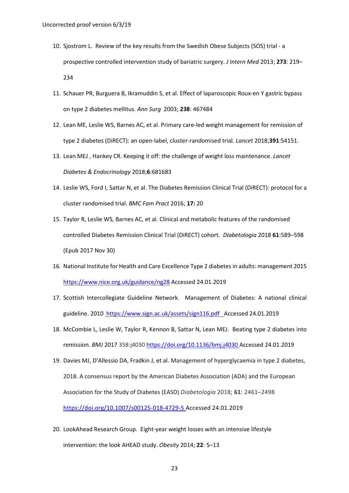- 10. Sjostrom L. Review of the key results from the Swedish Obese Subjects (SOS) trial a prospective controlled intervention study of bariatric surgery. *J Intern Med* 2013; **273**: 219– 234
- 11. Schauer PR, Burguera B, Ikramuddin S, et al. Effect of laparoscopic Roux-en Y gastric bypass on type 2 diabetes mellitus. *Ann Surg* 2003; **238**: 467484
- 12. Lean ME, Leslie WS, Barnes AC, et al. Primary care-led weight management for remission of type 2 diabetes (DiRECT): an open-label, cluster-randomised trial. *Lancet* 2018;**391**:54151.
- 13. Lean MEJ , Hankey CR. Keeping it off: the challenge of weight loss maintenance. *Lancet Diabetes & Endocrinology* 2018;**6**:681683
- 14. Leslie WS, Ford I, Sattar N, et al. The Diabetes Remission Clinical Trial (DiRECT): protocol for a cluster randomised trial. *BMC Fam Pract* 2016; **17:** 20
- 15. Taylor R, Leslie WS, Barnes AC, et al. Clinical and metabolic features of the randomised controlled Diabetes Remission Clinical Trial (DiRECT) cohort. *Diabetologia* 2018 **61**:589–598 (Epub 2017 Nov 30)
- 16. National Institute for Health and Care Excellence Type 2 diabetes in adults: management 2015 <https://www.nice.org.uk/guidance/ng28> Accessed 24.01.2019
- 17. Scottish Intercollegiate Guideline Network. Management of Diabetes: A national clinical guideline. 2010 [https://www.sign.ac.uk/assets/sign116.pdf A](https://www.sign.ac.uk/assets/sign116.pdf)ccessed 24.01.2019
- 18. McCombie L, Leslie W, Taylor R, Kennon B, Sattar N, Lean MEJ. Beating type 2 diabetes into remission. *BMJ* 2017 358:j4030 https://doi.org/10.1136/bmj.j4030 Accessed 24.01.2019
- 19. Davies MJ, D'Allessio DA, Fradkin J, et al. Management of hyperglycaemia in type 2 diabetes, 2018. A consensus report by the American Diabetes Association (ADA) and the European Association for the Study of Diabetes (EASD) *Diabetologia* 2018; **61**: 2461–2498 <https://doi.org/10.1007/s00125-018-4729-5> Accessed 24.01.2019
- 20. LookAhead Research Group. Eight-year weight losses with an intensive lifestyle intervention: the look AHEAD study. *Obesity* 2014; **22**: 5–13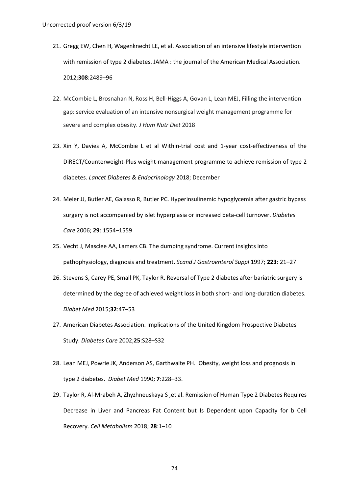- 21. Gregg EW, Chen H, Wagenknecht LE, et al. Association of an intensive lifestyle intervention with remission of type 2 diabetes. JAMA : the journal of the American Medical Association. 2012;**308**:2489–96
- 22. McCombie L, Brosnahan N, Ross H, Bell-Higgs A, Govan L, Lean MEJ, Filling the intervention gap: service evaluation of an intensive nonsurgical weight management programme for severe and complex obesity. *J Hum Nutr Diet* 2018
- 23. Xin Y, Davies A, McCombie L et al Within-trial cost and 1-year cost-effectiveness of the DiRECT/Counterweight-Plus weight-management programme to achieve remission of type 2 diabetes. *Lancet Diabetes & Endocrinology* 2018; December
- 24. Meier JJ, Butler AE, Galasso R, Butler PC. Hyperinsulinemic hypoglycemia after gastric bypass surgery is not accompanied by islet hyperplasia or increased beta-cell turnover. *Diabetes Care* 2006; **29**: 1554–1559
- 25. Vecht J, Masclee AA, Lamers CB. The dumping syndrome. Current insights into pathophysiology, diagnosis and treatment. *Scand J Gastroenterol Suppl* 1997; **223**: 21–27
- 26. Stevens S, Carey PE, Small PK, Taylor R. Reversal of Type 2 diabetes after bariatric surgery is determined by the degree of achieved weight loss in both short- and long-duration diabetes. *Diabet Med* 2015;**32**:47–53
- 27. American Diabetes Association. Implications of the United Kingdom Prospective Diabetes Study. *Diabetes Care* 2002;**25**:S28–S32
- 28. Lean MEJ, Powrie JK, Anderson AS, Garthwaite PH. Obesity, weight loss and prognosis in type 2 diabetes. *Diabet Med* 1990; **7**:228–33.
- 29. Taylor R, Al-Mrabeh A, Zhyzhneuskaya S ,et al. Remission of Human Type 2 Diabetes Requires Decrease in Liver and Pancreas Fat Content but Is Dependent upon Capacity for b Cell Recovery. *Cell Metabolism* 2018; **28**:1–10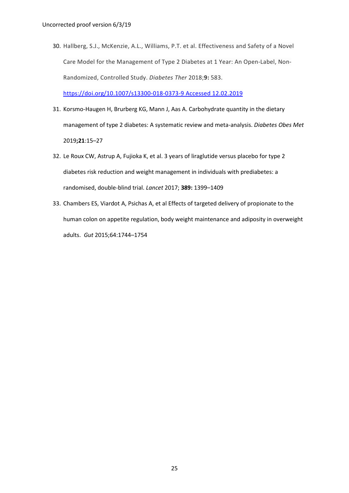30. Hallberg, S.J., McKenzie, A.L., Williams, P.T. et al. Effectiveness and Safety of a Novel Care Model for the Management of Type 2 Diabetes at 1 Year: An Open-Label, Non-Randomized, Controlled Study. *Diabetes Ther* 2018;**9:** 583.

<https://doi.org/10.1007/s13300-018-0373-9> Accessed 12.02.2019

- 31. Korsmo-Haugen H, Brurberg KG, Mann J, Aas A. Carbohydrate quantity in the dietary management of type 2 diabetes: A systematic review and meta-analysis. *Diabetes Obes Met*  2019**;21**:15–27
- 32. Le Roux CW, Astrup A, Fujioka K, et al. 3 years of liraglutide versus placebo for type 2 diabetes risk reduction and weight management in individuals with prediabetes: a randomised, double-blind trial. *Lancet* 2017; **389:** 1399–1409
- 33. Chambers ES, Viardot A, Psichas A, et al Effects of targeted delivery of propionate to the human colon on appetite regulation, body weight maintenance and adiposity in overweight adults. *Gut* 2015;64:1744–1754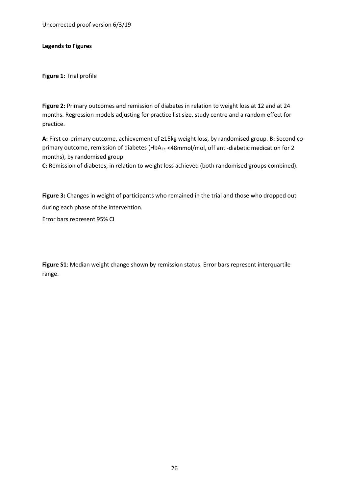Uncorrected proof version 6/3/19

**Legends to Figures**

**Figure 1**: Trial profile

**Figure 2:** Primary outcomes and remission of diabetes in relation to weight loss at 12 and at 24 months. Regression models adjusting for practice list size, study centre and a random effect for practice.

**A:** First co-primary outcome, achievement of ≥15kg weight loss, by randomised group. **B:** Second coprimary outcome, remission of diabetes (HbA<sub>1c</sub> <48mmol/mol, off anti-diabetic medication for 2 months), by randomised group.

**C:** Remission of diabetes, in relation to weight loss achieved (both randomised groups combined).

**Figure 3:** Changes in weight of participants who remained in the trial and those who dropped out during each phase of the intervention.

Error bars represent 95% CI

**Figure S1**: Median weight change shown by remission status. Error bars represent interquartile range.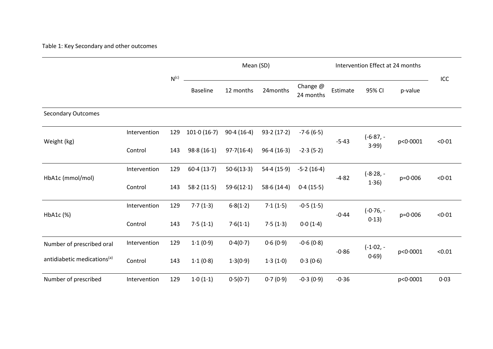### Table 1: Key Secondary and other outcomes

|                                         |              |           |                           | Mean (SD)  |            |                       |                               |            | Intervention Effect at 24 months |        |
|-----------------------------------------|--------------|-----------|---------------------------|------------|------------|-----------------------|-------------------------------|------------|----------------------------------|--------|
|                                         |              | $N^{(c)}$ | <b>Baseline</b>           | 12 months  | 24months   | Change @<br>24 months | Estimate                      | 95% CI     | p-value                          | ICC    |
| <b>Secondary Outcomes</b>               |              |           |                           |            |            |                       |                               |            |                                  |        |
|                                         | Intervention | 129       | $101 \cdot 0(16 \cdot 7)$ | 90.4(16.4) | 93.2(17.2) | $-7.6(6.5)$           | $(-6.87,-$<br>$-5.43$<br>3.99 | p<0.0001   | < 0.01                           |        |
| Weight (kg)                             | Control      | 143       | 98.8(16.1)                | 97.7(16.4) | 96.4(16.3) | $-2.3(5.2)$           |                               |            |                                  |        |
| HbA1c (mmol/mol)                        | Intervention | 129       | 60.4(13.7)                | 50.6(13.3) | 54.4(15.9) | $-5.2(16.4)$          | $-4.82$                       | $(-8.28,-$ | $p = 0.006$                      | < 0.01 |
|                                         | Control      | 143       | 58.2(11.5)                | 59.6(12.1) | 58.6(14.4) | 0.4(15.5)             |                               | 1.36)      |                                  |        |
|                                         | Intervention | 129       | 7.7(1.3)                  | 6.8(1.2)   | 7.1(1.5)   | $-0.5(1.5)$           | $(-0.76, -$                   |            | < 0.01                           |        |
| HbA1c (%)                               | Control      | 143       | 7.5(1.1)                  | 7.6(1.1)   | 7.5(1.3)   | 0.0(1.4)              | $-0.44$                       | 0.13)      | $p = 0.006$                      |        |
| Number of prescribed oral               | Intervention | 129       | 1.1(0.9)                  | 0.4(0.7)   | 0.6(0.9)   | $-0.6(0.8)$           |                               | $(-1.02,-$ |                                  |        |
| antidiabetic medications <sup>(a)</sup> | Control      | 143       | 1.1(0.8)                  | 1.3(0.9)   | 1.3(1.0)   | 0.3(0.6)              | $-0.86$                       | 0.69)      | p<0.0001                         | < 0.01 |
| Number of prescribed                    | Intervention | 129       | 1.0(1.1)                  | 0.5(0.7)   | 0.7(0.9)   | $-0.3(0.9)$           | $-0.36$                       |            | p<0.0001                         | 0.03   |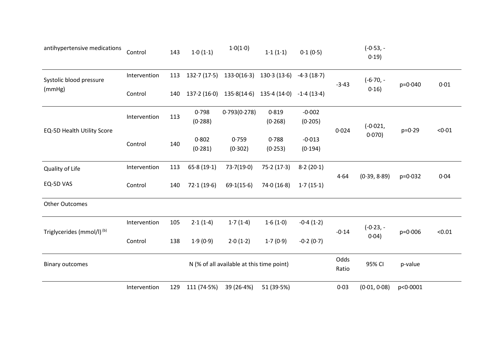| antihypertensive medications          | Control      | 143 | 1.0(1.1)    | 1.0(1.0)                                  | 1.1(1.1)    | 0.1(0.5)     |                       | $(-0.53,-$<br>0.19 |                       |        |
|---------------------------------------|--------------|-----|-------------|-------------------------------------------|-------------|--------------|-----------------------|--------------------|-----------------------|--------|
| Systolic blood pressure               | Intervention | 113 | 132.7(17.5) | 133.0(16.3)                               | 130.3(13.6) | $-4.3(18.7)$ | $(-6.70,-$<br>$-3.43$ | $p = 0.040$        | 0.01                  |        |
| (mmHg)                                | Control      | 140 |             | $137.2(16.0)$ $135.8(14.6)$               | 135.4(14.0) | $-1.4(13.4)$ |                       | 0.16               |                       |        |
|                                       | Intervention | 113 | 0.798       | 0.793(0.278)                              | 0.819       | $-0.002$     |                       |                    |                       |        |
| EQ-5D Health Utility Score            |              |     | (0.288)     |                                           | (0.268)     | (0.205)      | 0.024                 | $(-0.021,$         | $p = 0.29$            | < 0.01 |
|                                       |              |     | 0.802       | 0.759                                     | 0.788       | $-0.013$     | $0.070$ )             |                    |                       |        |
|                                       | Control      | 140 | (0.281)     | (0.302)                                   | (0.253)     | (0.194)      |                       |                    |                       |        |
| Quality of Life                       | Intervention | 113 | 65.8(19.1)  | 73.7(19.0)                                | 75.2(17.3)  | 8.2(20.1)    |                       |                    |                       |        |
| EQ-5D VAS                             | Control      | 140 | 72.1(19.6)  | 69.1(15.6)                                | 74.0(16.8)  | 1.7(15.1)    | 4.64                  | (0.39, 8.89)       | $p = 0.032$           | 0.04   |
| <b>Other Outcomes</b>                 |              |     |             |                                           |             |              |                       |                    |                       |        |
|                                       | Intervention | 105 | 2.1(1.4)    | 1.7(1.4)                                  | 1.6(1.0)    | $-0.4(1.2)$  |                       | $(-0.23,-)$        |                       |        |
| Triglycerides (mmol/l) <sup>(b)</sup> | Control      | 138 | 1.9(0.9)    | 2.0(1.2)                                  | 1.7(0.9)    | $-0.2(0.7)$  | $-0.14$<br>0.04)      |                    | $p = 0.006$<br>< 0.01 |        |
| <b>Binary outcomes</b>                |              |     |             | N (% of all available at this time point) |             |              | Odds<br>Ratio         | 95% CI             | p-value               |        |
|                                       | Intervention | 129 | 111(74.5%)  | 39 (26.4%)                                | 51 (39.5%)  |              | 0.03                  | (0.01, 0.08)       | p<0.0001              |        |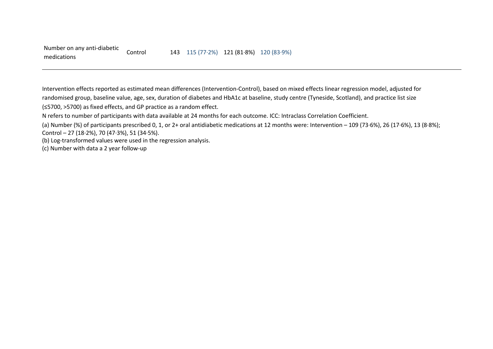Intervention effects reported as estimated mean differences (Intervention-Control), based on mixed effects linear regression model, adjusted for randomised group, baseline value, age, sex, duration of diabetes and HbA1c at baseline, study centre (Tyneside, Scotland), and practice list size (≤5700, >5700) as fixed effects, and GP practice as a random effect.

N refers to number of participants with data available at 24 months for each outcome. ICC: Intraclass Correlation Coefficient.

(b) Log-transformed values were used in the regression analysis.

(c) Number with data a 2 year follow-up

<sup>(</sup>a) Number (%) of participants prescribed 0, 1, or 2+ oral antidiabetic medications at 12 months were: Intervention – 109 (73·6%), 26 (17·6%), 13 (8·8%); Control – 27 (18·2%), 70 (47·3%), 51 (34·5%).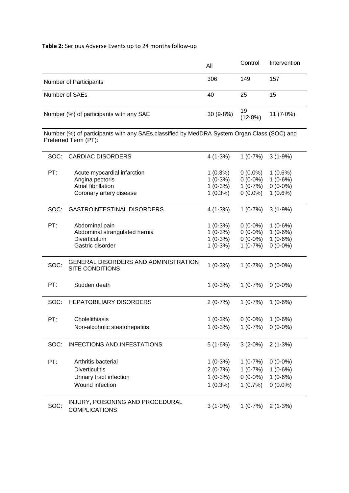# **Table 2:** Serious Adverse Events up to 24 months follow-up

|      |                                                                                                                     | All                                                  | Control                                              | Intervention                                         |
|------|---------------------------------------------------------------------------------------------------------------------|------------------------------------------------------|------------------------------------------------------|------------------------------------------------------|
|      | Number of Participants                                                                                              | 306                                                  | 149                                                  | 157                                                  |
|      | Number of SAEs                                                                                                      | 40                                                   | 25                                                   | 15                                                   |
|      | Number (%) of participants with any SAE                                                                             | 30 (9.8%)                                            | 19<br>(12.8%)                                        | 11 $(7.0\%)$                                         |
|      | Number (%) of participants with any SAEs, classified by MedDRA System Organ Class (SOC) and<br>Preferred Term (PT): |                                                      |                                                      |                                                      |
| SOC: | <b>CARDIAC DISORDERS</b>                                                                                            | 4(1.3%)                                              | $1(0.7\%)$                                           | $3(1.9\%)$                                           |
| PT:  | Acute myocardial infarction<br>Angina pectoris<br>Atrial fibrillation<br>Coronary artery disease                    | $1(0.3\%)$<br>$1(0.3\%)$<br>$1(0.3\%)$<br>$1(0.3\%)$ | $0(0.0\%)$<br>$0(0.0\%)$<br>$1(0.7\%)$<br>$0(0.0\%)$ | $1(0.6\%)$<br>$1(0.6\%)$<br>$0(0.0\%)$<br>$1(0.6\%)$ |
| SOC: | <b>GASTROINTESTINAL DISORDERS</b>                                                                                   | 4(1.3%)                                              | 1(0.7%)                                              | $3(1.9\%)$                                           |
| PT:  | Abdominal pain<br>Abdominal strangulated hernia<br>Diverticulum<br>Gastric disorder                                 | $1(0.3\%)$<br>$1(0.3\%)$<br>$1(0.3\%)$<br>$1(0.3\%)$ | $0(0.0\%)$<br>$0(0.0\%)$<br>$0(0.0\%)$<br>$1(0.7\%)$ | $1(0.6\%)$<br>$1(0.6\%)$<br>$1(0.6\%)$<br>$0(0.0\%)$ |
| SOC: | GENERAL DISORDERS AND ADMINISTRATION<br><b>SITE CONDITIONS</b>                                                      | $1(0.3\%)$                                           | $1(0.7\%)$                                           | $0(0.0\%)$                                           |
| PT:  | Sudden death                                                                                                        | $1(0.3\%)$                                           | 1(0.7%)                                              | $0(0.0\%)$                                           |
| SOC: | <b>HEPATOBILIARY DISORDERS</b>                                                                                      | 2(0.7%)                                              | 1(0.7%)                                              | $1(0.6\%)$                                           |
| PT:  | Cholelithiasis<br>Non-alcoholic steatohepatitis                                                                     | $1(0.3\%)$<br>1 (0-3%)                               | $0(0.0\%)$<br>1 (0-7%)                               | $1(0.6\%)$<br>$0(0.0\%)$                             |
| SOC: | <b>INFECTIONS AND INFESTATIONS</b>                                                                                  | 5(1.6%)                                              | $3(2.0\%)$                                           | 2(1.3%)                                              |
| PT:  | Arthritis bacterial<br><b>Diverticulitis</b><br>Urinary tract infection<br>Wound infection                          | $1(0.3\%)$<br>2(0.7%)<br>$1(0.3\%)$<br>$1(0.3\%)$    | 1(0.7%)<br>1(0.7%)<br>$0(0.0\%)$<br>1(0.7%)          | $0(0.0\%)$<br>$1(0.6\%)$<br>$1(0.6\%)$<br>$0(0.0\%)$ |
| SOC: | INJURY, POISONING AND PROCEDURAL<br><b>COMPLICATIONS</b>                                                            | $3(1.0\%)$                                           | 1(0.7%)                                              | 2(1.3%)                                              |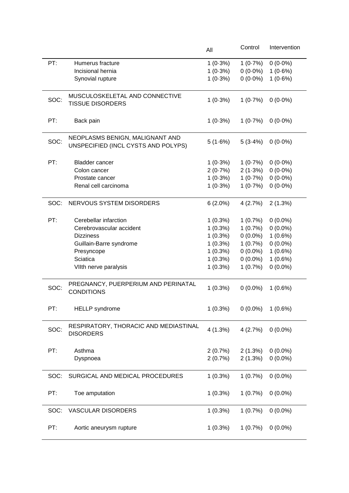|      |                                                           | All        | Control    | Intervention |
|------|-----------------------------------------------------------|------------|------------|--------------|
| PT:  | Humerus fracture                                          | $1(0.3\%)$ | 1(0.7%)    | $0(0.0\%)$   |
|      | Incisional hernia                                         | $1(0.3\%)$ | $0(0.0\%)$ | $1(0.6\%)$   |
|      | Synovial rupture                                          | $1(0.3\%)$ | $0(0.0\%)$ | $1(0.6\%)$   |
|      |                                                           |            |            |              |
| SOC: | MUSCULOSKELETAL AND CONNECTIVE<br><b>TISSUE DISORDERS</b> | $1(0.3\%)$ | 1(0.7%)    | $0(0.0\%)$   |
|      |                                                           |            |            |              |
| PT:  | Back pain                                                 | $1(0.3\%)$ | 1(0.7%)    | $0(0.0\%)$   |
|      |                                                           |            |            |              |
| SOC: | NEOPLASMS BENIGN, MALIGNANT AND                           |            |            |              |
|      | UNSPECIFIED (INCL CYSTS AND POLYPS)                       | 5(1.6%)    | $5(3.4\%)$ | $0(0.0\%)$   |
|      |                                                           |            |            |              |
| PT:  | <b>Bladder cancer</b>                                     | $1(0.3\%)$ | 1(0.7%)    | $0(0.0\%)$   |
|      | Colon cancer                                              | 2(0.7%)    | 2(1.3%)    | $0(0.0\%)$   |
|      | Prostate cancer                                           | $1(0.3\%)$ | 1(0.7%)    | $0(0.0\%)$   |
|      | Renal cell carcinoma                                      | $1(0.3\%)$ | 1(0.7%)    | $0(0.0\%)$   |
|      |                                                           |            |            |              |
| SOC: | NERVOUS SYSTEM DISORDERS                                  | $6(2.0\%)$ | 4(2.7%)    | 2(1.3%)      |
|      |                                                           |            |            |              |
| PT:  | Cerebellar infarction                                     | $1(0.3\%)$ | 1(0.7%)    | $0(0.0\%)$   |
|      | Cerebrovascular accident                                  | $1(0.3\%)$ | 1(0.7%)    | $0(0.0\%)$   |
|      | <b>Dizziness</b>                                          | $1(0.3\%)$ | $0(0.0\%)$ | $1(0.6\%)$   |
|      | Guillain-Barre syndrome                                   | $1(0.3\%)$ | 1(0.7%)    | $0(0.0\%)$   |
|      | Presyncope                                                | $1(0.3\%)$ | $0(0.0\%)$ | $1(0.6\%)$   |
|      | Sciatica                                                  | $1(0.3\%)$ | $0(0.0\%)$ | $1(0.6\%)$   |
|      | VIIth nerve paralysis                                     | $1(0.3\%)$ | 1(0.7%)    | $0(0.0\%)$   |
|      |                                                           |            |            |              |
| SOC: | PREGNANCY, PUERPERIUM AND PERINATAL                       | $1(0.3\%)$ | $0(0.0\%)$ | $1(0.6\%)$   |
|      | <b>CONDITIONS</b>                                         |            |            |              |
|      |                                                           |            |            |              |
| PT:  | <b>HELLP</b> syndrome                                     | 1(0.3%)    | $0(0.0\%)$ | $1(0.6\%)$   |
|      | RESPIRATORY, THORACIC AND MEDIASTINAL                     |            |            |              |
| SOC: | <b>DISORDERS</b>                                          | 4(1.3%)    | 4(2.7%)    | $0(0.0\%)$   |
|      |                                                           |            |            |              |
| PT:  | Asthma                                                    | 2(0.7%)    | 2(1.3%)    | $0(0.0\%)$   |
|      | Dyspnoea                                                  | 2(0.7%)    | 2(1.3%)    | $0(0.0\%)$   |
|      |                                                           |            |            |              |
| SOC: | SURGICAL AND MEDICAL PROCEDURES                           | $1(0.3\%)$ | 1(0.7%)    | $0(0.0\%)$   |
|      |                                                           |            |            |              |
| PT:  | Toe amputation                                            | $1(0.3\%)$ | 1(0.7%)    | $0(0.0\%)$   |
|      |                                                           |            |            |              |
| SOC: | <b>VASCULAR DISORDERS</b>                                 | $1(0.3\%)$ | 1(0.7%)    | $0(0.0\%)$   |
|      |                                                           |            |            |              |
| PT:  | Aortic aneurysm rupture                                   | $1(0.3\%)$ | 1(0.7%)    | $0(0.0\%)$   |
|      |                                                           |            |            |              |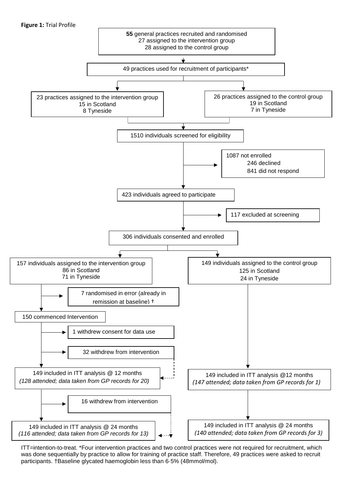

ITT=intention-to-treat. \*Four intervention practices and two control practices were not required for recruitment, which was done sequentially by practice to allow for training of practice staff. Therefore, 49 practices were asked to recruit participants. †Baseline glycated haemoglobin less than 6·5% (48mmol/mol).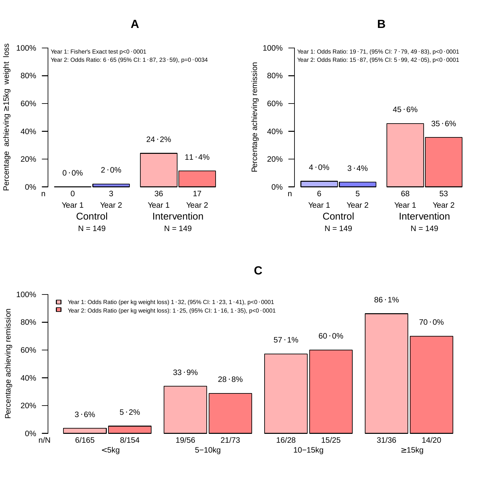

**A**

**C**

**B**

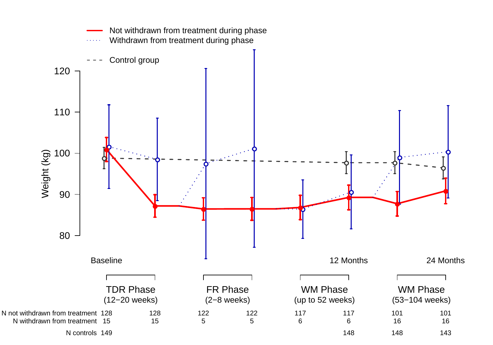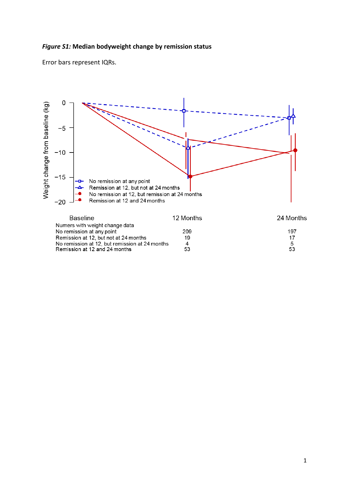# *Figure S1:* **Median bodyweight change by remission status**

Error bars represent IQRs.



| Baseline                                       | 12 Months | 24 Months |
|------------------------------------------------|-----------|-----------|
| Numers with weight change data                 |           |           |
| No remission at any point                      | 209       | 197       |
| Remission at 12, but not at 24 months          | 19        | 17        |
| No remission at 12, but remission at 24 months | Δ         | 5         |
| Remission at 12 and 24 months                  | 53        | 53        |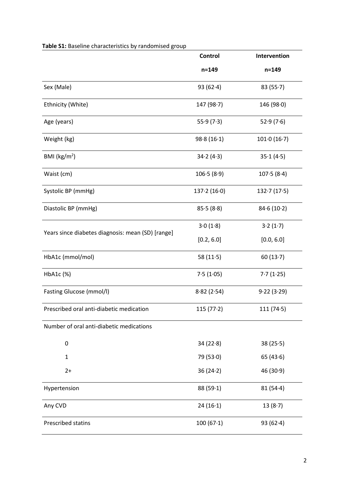|                                                   | Control     | Intervention |
|---------------------------------------------------|-------------|--------------|
|                                                   | $n = 149$   | $n = 149$    |
| Sex (Male)                                        | 93 $(62.4)$ | 83(55.7)     |
| Ethnicity (White)                                 | 147(98.7)   | 146 (98.0)   |
| Age (years)                                       | 55.9(7.3)   | 52.9(7.6)    |
| Weight (kg)                                       | 98.8(16.1)  | 101.0(16.7)  |
| BMI ( $\text{kg/m}^2$ )                           | 34.2(4.3)   | 35.1(4.5)    |
| Waist (cm)                                        | 106.5(8.9)  | 107.5(8.4)   |
| Systolic BP (mmHg)                                | 137.2(16.0) | 132.7(17.5)  |
| Diastolic BP (mmHg)                               | 85.5(8.8)   | 84.6(10.2)   |
|                                                   | 3.0(1.8)    | 3.2(1.7)     |
| Years since diabetes diagnosis: mean (SD) [range] | [0.2, 6.0]  | [0.0, 6.0]   |
| HbA1c (mmol/mol)                                  | 58 $(11.5)$ | 60(13.7)     |
| HbA1c (%)                                         | 7.5(1.05)   | 7.7(1.25)    |
| Fasting Glucose (mmol/l)                          | 8.82(2.54)  | 9.22(3.29)   |
| Prescribed oral anti-diabetic medication          | 115(77.2)   | 111(74.5)    |
| Number of oral anti-diabetic medications          |             |              |
| 0                                                 | 34(22.8)    | 38(25.5)     |
| $\mathbf{1}$                                      | 79(53.0)    | 65(43.6)     |
| $2+$                                              | 36(24.2)    | 46 (30.9)    |
| Hypertension                                      | 88(59.1)    | 81(54.4)     |
| Any CVD                                           | 24(16.1)    | 13(8.7)      |
| Prescribed statins                                | 100(67·1)   | 93 $(62.4)$  |

### **Table S1:** Baseline characteristics by randomised group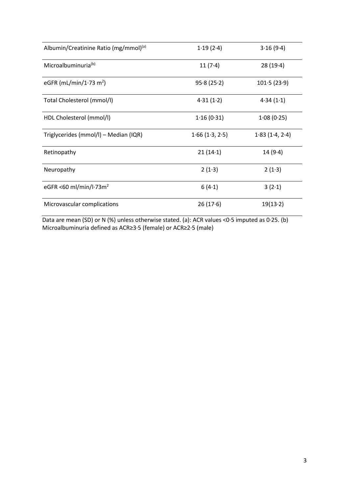| Albumin/Creatinine Ratio (mg/mmol) <sup>(a)</sup> | 1.19(2.4)      | 3.16(9.4)      |
|---------------------------------------------------|----------------|----------------|
| Microalbuminuria <sup>(b)</sup>                   | 11(7.4)        | 28(19.4)       |
| eGFR (mL/min/1 $\cdot$ 73 m <sup>2</sup> )        | 95.8(25.2)     | 101.5(23.9)    |
| Total Cholesterol (mmol/l)                        | 4.31(1.2)      | 4.34(1.1)      |
| HDL Cholesterol (mmol/l)                          | 1.16(0.31)     | 1.08(0.25)     |
| Triglycerides (mmol/l) - Median (IQR)             | 1.66(1.3, 2.5) | 1.83(1.4, 2.4) |
| Retinopathy                                       | 21(14.1)       | 14(9.4)        |
| Neuropathy                                        | 2(1.3)         | 2(1.3)         |
| eGFR <60 ml/min/l $\cdot$ 73m <sup>2</sup>        | 6(4.1)         | 3(2.1)         |
| Microvascular complications                       | 26(17.6)       | 19(13.2)       |

Data are mean (SD) or N (%) unless otherwise stated. (a): ACR values <0·5 imputed as 0·25. (b) Microalbuminuria defined as ACR≥3·5 (female) or ACR≥2·5 (male)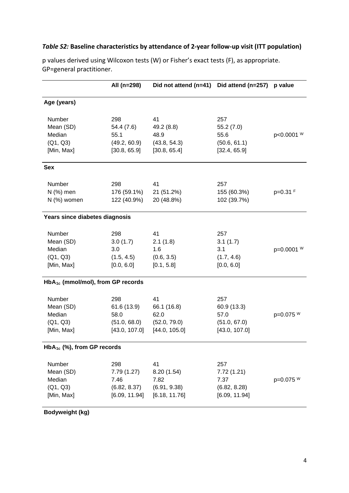# *Table S2:* **Baseline characteristics by attendance of 2-year follow-up visit (ITT population)**

|                                               | All (n=298)   | Did not attend (n=41) | Did attend (n=257) | p value    |
|-----------------------------------------------|---------------|-----------------------|--------------------|------------|
|                                               |               |                       |                    |            |
| Age (years)                                   |               |                       |                    |            |
| Number                                        | 298           | 41                    | 257                |            |
| Mean (SD)                                     | 54.4 (7.6)    | 49.2 (8.8)            | 55.2 (7.0)         |            |
| Median                                        | 55.1          | 48.9                  | 55.6               | p<0.0001 W |
| (Q1, Q3)                                      | (49.2, 60.9)  | (43.8, 54.3)          | (50.6, 61.1)       |            |
| [Min, Max]                                    | [30.8, 65.9]  | [30.8, 65.4]          | [32.4, 65.9]       |            |
| <b>Sex</b>                                    |               |                       |                    |            |
| Number                                        | 298           | 41                    | 257                |            |
| N (%) men                                     | 176 (59.1%)   | 21 (51.2%)            | 155 (60.3%)        | $p=0.31$ F |
| N (%) women                                   | 122 (40.9%)   | 20 (48.8%)            | 102 (39.7%)        |            |
| Years since diabetes diagnosis                |               |                       |                    |            |
| Number                                        | 298           | 41                    | 257                |            |
| Mean (SD)                                     | 3.0(1.7)      | 2.1(1.8)              | 3.1(1.7)           |            |
| Median                                        | 3.0           | 1.6                   | 3.1                | p=0.0001 W |
| (Q1, Q3)                                      | (1.5, 4.5)    | (0.6, 3.5)            | (1.7, 4.6)         |            |
| [Min, Max]                                    | [0.0, 6.0]    | [0.1, 5.8]            | [0.0, 6.0]         |            |
| HbA <sub>1c</sub> (mmol/mol), from GP records |               |                       |                    |            |
| Number                                        | 298           | 41                    | 257                |            |
| Mean (SD)                                     | 61.6 (13.9)   | 66.1 (16.8)           | 60.9 (13.3)        |            |
| Median                                        | 58.0          | 62.0                  | 57.0               | p=0.075 W  |
| (Q1, Q3)                                      | (51.0, 68.0)  | (52.0, 79.0)          | (51.0, 67.0)       |            |
| [Min, Max]                                    | [43.0, 107.0] | [44.0, 105.0]         | [43.0, 107.0]      |            |
| $HbA_{1c}$ (%), from GP records               |               |                       |                    |            |
| Number                                        | 298           | 41                    | 257                |            |
| Mean (SD)                                     | 7.79(1.27)    | 8.20 (1.54)           | 7.72 (1.21)        |            |
| Median                                        | 7.46          | 7.82                  | 7.37               | p=0.075 W  |
| (Q1, Q3)                                      | (6.82, 8.37)  | (6.91, 9.38)          | (6.82, 8.28)       |            |
| [Min, Max]                                    | [6.09, 11.94] | [6.18, 11.76]         | [6.09, 11.94]      |            |
|                                               |               |                       |                    |            |

p values derived using Wilcoxon tests (W) or Fisher's exact tests (F), as appropriate. GP=general practitioner.

### **Bodyweight (kg)**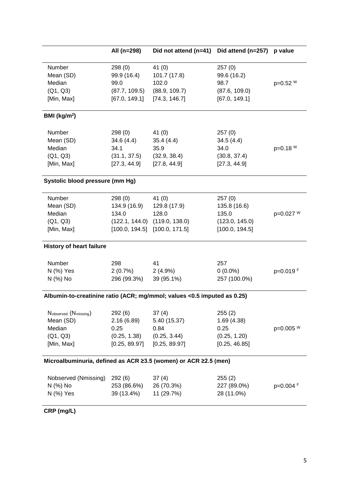|                                                                         | All (n=298)                                                     | Did not attend (n=41)                                                                                     | Did attend (n=257)                                                  | p value    |
|-------------------------------------------------------------------------|-----------------------------------------------------------------|-----------------------------------------------------------------------------------------------------------|---------------------------------------------------------------------|------------|
| Number<br>Mean (SD)<br>Median<br>(Q1, Q3)<br>[Min, Max]                 | 298(0)<br>99.9 (16.4)<br>99.0<br>(87.7, 109.5)<br>[67.0, 149.1] | 41 $(0)$<br>101.7 (17.8)<br>102.0<br>(88.9, 109.7)<br>[74.3, 146.7]                                       | 257(0)<br>99.6 (16.2)<br>98.7<br>(87.6, 109.0)<br>[67.0, 149.1]     | p=0.52 W   |
| BMI ( $kg/m2$ )                                                         |                                                                 |                                                                                                           |                                                                     |            |
| Number<br>Mean (SD)<br>Median<br>(Q1, Q3)<br>[Min, Max]                 | 298(0)<br>34.6(4.4)<br>34.1<br>(31.1, 37.5)<br>[27.3, 44.9]     | 41 $(0)$<br>35.4(4.4)<br>35.9<br>(32.9, 38.4)<br>[27.8, 44.9]                                             | 257(0)<br>34.5(4.4)<br>34.0<br>(30.8, 37.4)<br>[27.3, 44.9]         | $p=0.18 W$ |
| Systolic blood pressure (mm Hg)                                         |                                                                 |                                                                                                           |                                                                     |            |
| Number<br>Mean (SD)<br>Median<br>(Q1, Q3)<br>[Min, Max]                 | 298(0)<br>134.9 (16.9)<br>134.0                                 | 41 $(0)$<br>129.8 (17.9)<br>128.0<br>$(122.1, 144.0)$ $(119.0, 138.0)$<br>$[100.0, 194.5]$ [100.0, 171.5] | 257(0)<br>135.8 (16.6)<br>135.0<br>(123.0, 145.0)<br>[100.0, 194.5] | p=0.027 W  |
| <b>History of heart failure</b>                                         |                                                                 |                                                                                                           |                                                                     |            |
| Number<br>N (%) Yes<br>N (%) No                                         | 298<br>2(0.7%)<br>296 (99.3%)                                   | 41<br>$2(4.9\%)$<br>39 (95.1%)                                                                            | 257<br>$0(0.0\%)$<br>257 (100.0%)                                   | p=0.019F   |
| Albumin-to-creatinine ratio (ACR; mg/mmol; values <0.5 imputed as 0.25) |                                                                 |                                                                                                           |                                                                     |            |
| Nobserved (Nmissing)<br>Mean (SD)<br>Median<br>(Q1, Q3)<br>[Min, Max]   | 292 (6)<br>2.16(6.89)<br>0.25<br>(0.25, 1.38)<br>[0.25, 89.97]  | 37(4)<br>5.40 (15.37)<br>0.84<br>(0.25, 3.44)<br>[0.25, 89.97]                                            | 255(2)<br>1.69(4.38)<br>0.25<br>(0.25, 1.20)<br>[0.25, 46.85]       | p=0.005 W  |
| Microalbuminuria, defined as ACR ≥3.5 (women) or ACR ≥2.5 (men)         |                                                                 |                                                                                                           |                                                                     |            |
| Nobserved (Nmissing)<br>N (%) No<br>N (%) Yes                           | 292(6)<br>253 (86.6%)<br>39 (13.4%)                             | 37(4)<br>26 (70.3%)<br>11 (29.7%)                                                                         | 255(2)<br>227 (89.0%)<br>28 (11.0%)                                 | p=0.004 F  |
|                                                                         |                                                                 |                                                                                                           |                                                                     |            |

**CRP (mg/L)**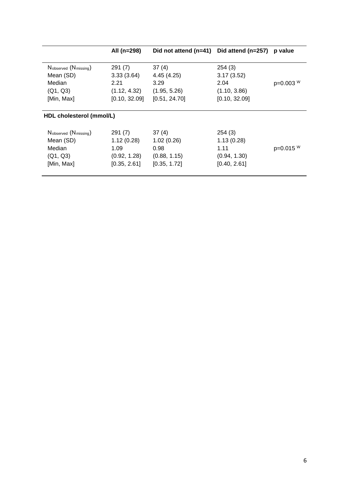|                          | All (n=298)   | Did not attend $(n=41)$ | Did attend (n=257) | p value   |
|--------------------------|---------------|-------------------------|--------------------|-----------|
|                          |               |                         |                    |           |
| Nobserved (Nmissing)     | 291(7)        | 37(4)                   | 254(3)             |           |
| Mean (SD)                | 3.33(3.64)    | 4.45(4.25)              | 3.17(3.52)         |           |
| Median                   | 2.21          | 3.29                    | 2.04               | p=0.003 W |
| (Q1, Q3)                 | (1.12, 4.32)  | (1.95, 5.26)            | (1.10, 3.86)       |           |
| [Min, Max]               | [0.10, 32.09] | [0.51, 24.70]           | [0.10, 32.09]      |           |
| HDL cholesterol (mmol/L) |               |                         |                    |           |
| Nobserved (Nmissing)     | 291(7)        | 37(4)                   | 254(3)             |           |
| Mean (SD)                | 1.12(0.28)    | 1.02(0.26)              | 1.13(0.28)         |           |
| Median                   | 1.09          | 0.98                    | 1.11               | p=0.015 W |
| (Q1, Q3)                 | (0.92, 1.28)  | (0.88, 1.15)            | (0.94, 1.30)       |           |
| [Min, Max]               | [0.35, 2.61]  | [0.35, 1.72]            | [0.40, 2.61]       |           |
|                          |               |                         |                    |           |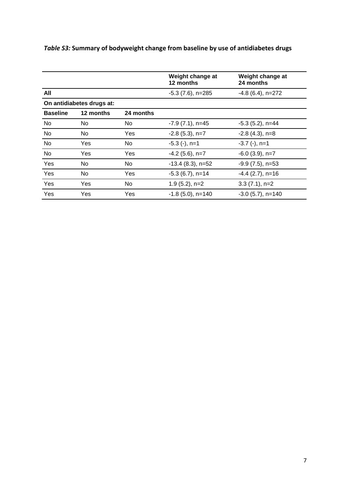|                 |                           |           | Weight change at<br>12 months | Weight change at<br>24 months |
|-----------------|---------------------------|-----------|-------------------------------|-------------------------------|
| All             |                           |           | $-5.3$ (7.6), n=285           | $-4.8(6.4)$ , n=272           |
|                 | On antidiabetes drugs at: |           |                               |                               |
| <b>Baseline</b> | 12 months                 | 24 months |                               |                               |
| No              | No                        | No        | $-7.9(7.1)$ , n=45            | $-5.3$ (5.2), n=44            |
| No              | No                        | Yes       | $-2.8$ (5.3), n=7             | $-2.8$ (4.3), n=8             |
| <b>No</b>       | Yes                       | No        | $-5.3$ (-), n=1               | $-3.7$ (-), n=1               |
| No              | Yes                       | Yes       | $-4.2$ (5.6), n=7             | $-6.0$ (3.9), n=7             |
| Yes             | No                        | No        | $-13.4$ (8.3), n=52           | $-9.9(7.5)$ , n=53            |
| Yes             | No                        | Yes       | $-5.3$ (6.7), n=14            | $-4.4$ (2.7), n=16            |
| Yes             | Yes                       | No.       | $1.9(5.2)$ , n=2              | $3.3(7.1)$ , n=2              |
| <b>Yes</b>      | Yes                       | Yes       | $-1.8$ (5.0), n=140           | $-3.0$ (5.7), n=140           |

# *Table S3:* **Summary of bodyweight change from baseline by use of antidiabetes drugs**